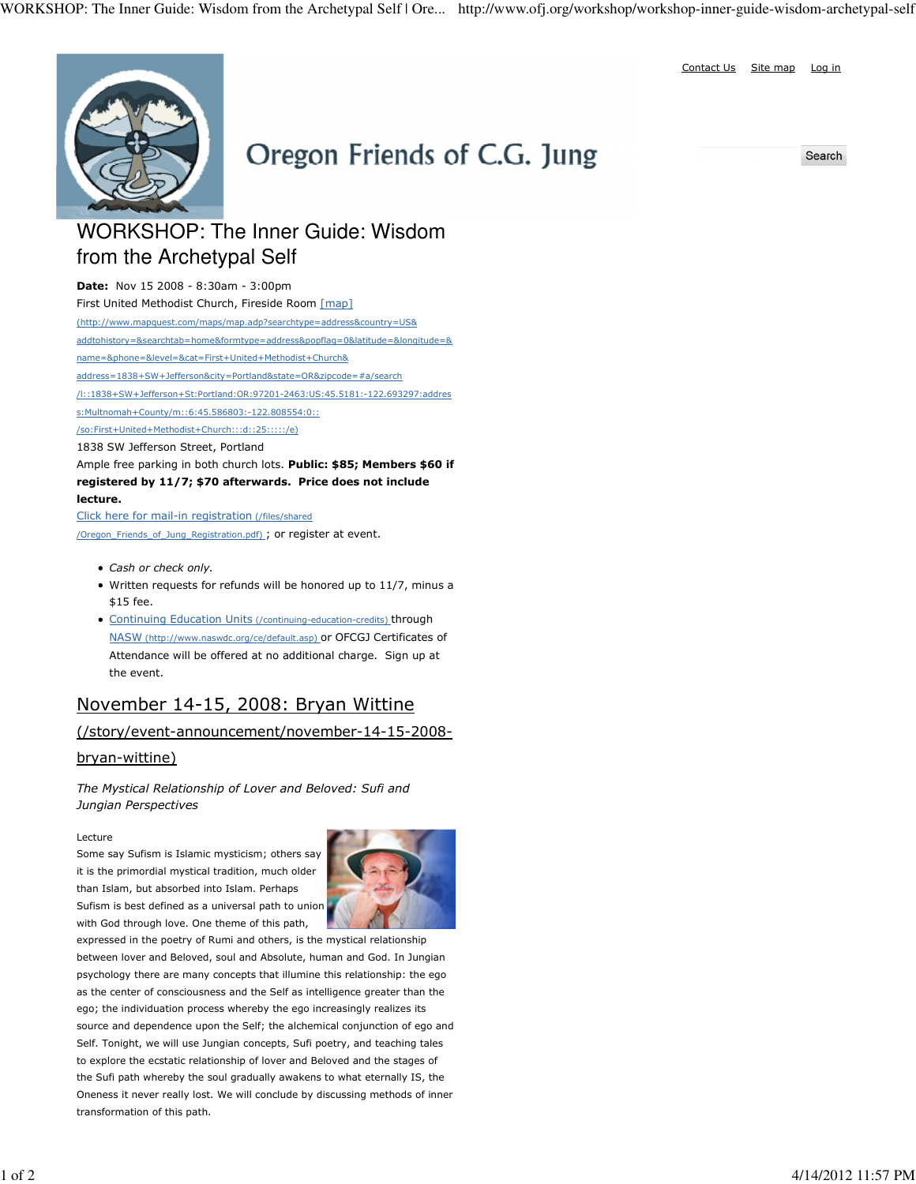WORKSHOP: The Inner Guide: Wisdom from the Archetypal Self | Ore... http://www.ofj.org/workshop/workshop-inner-guide-wisdom-archetypal-self

Contact Us Site map Log in



# Oregon Friends of C.G. Jung

Search

## WORKSHOP: The Inner Guide: Wisdom from the Archetypal Self

Date: Nov 15 2008 - 8:30am - 3:00pm First United Methodist Church, Fireside Room [map] (http://www.mapquest.com/maps/map.adp?searchtype=address&country=US& addtohistory=&searchtab=home&formtype=address&popflag=0&latitude=&longitude=& name=&phone=&level=&cat=First+United+Methodist+Church& address=1838+SW+Jefferson&city=Portland&state=OR&zipcode=#a/search /l::1838+SW+Jefferson+St:Portland:OR:97201-2463:US:45.5181:-122.693297:addres s:Multnomah+County/m::6:45.586803:-122.808554:0:: /so:First+United+Methodist+Church:::d::25:::::/e) 1838 SW Jefferson Street, Portland Ample free parking in both church lots. Public: \$85; Members \$60 if registered by 11/7; \$70 afterwards. Price does not include lecture. Click here for mail-in registration (/files/shared /Oregon\_Friends\_of\_Jung\_Registration.pdf) ; or register at event.

• Cash or check only.

- Written requests for refunds will be honored up to 11/7, minus a \$15 fee.
- Continuing Education Units (/continuing-education-credits) through NASW (http://www.naswdc.org/ce/default.asp) or OFCGJ Certificates of Attendance will be offered at no additional charge. Sign up at the event.

### November 14-15, 2008: Bryan Wittine

#### (/story/event-announcement/november-14-15-2008 bryan-wittine)

The Mystical Relationship of Lover and Beloved: Sufi and Jungian Perspectives

#### Lecture

Some say Sufism is Islamic mysticism; others say it is the primordial mystical tradition, much older than Islam, but absorbed into Islam. Perhaps Sufism is best defined as a universal path to union with God through love. One theme of this path,



expressed in the poetry of Rumi and others, is the mystical relationship between lover and Beloved, soul and Absolute, human and God. In Jungian psychology there are many concepts that illumine this relationship: the ego as the center of consciousness and the Self as intelligence greater than the ego; the individuation process whereby the ego increasingly realizes its source and dependence upon the Self; the alchemical conjunction of ego and Self. Tonight, we will use Jungian concepts, Sufi poetry, and teaching tales to explore the ecstatic relationship of lover and Beloved and the stages of the Sufi path whereby the soul gradually awakens to what eternally IS, the Oneness it never really lost. We will conclude by discussing methods of inner transformation of this path.